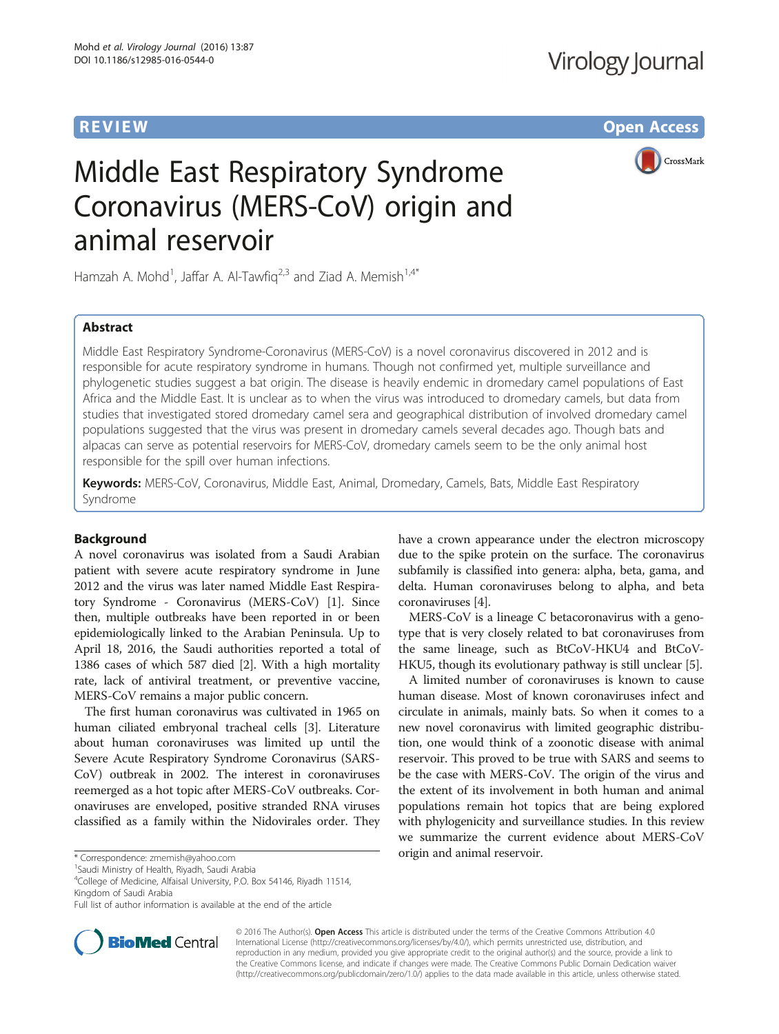**REVIEW CONSTRUCTION CONSTRUCTION CONSTRUCTS** 



# Middle East Respiratory Syndrome Coronavirus (MERS-CoV) origin and animal reservoir

Hamzah A. Mohd<sup>1</sup>, Jaffar A. Al-Tawfiq<sup>2,3</sup> and Ziad A. Memish<sup>1,4\*</sup>

# Abstract

Middle East Respiratory Syndrome-Coronavirus (MERS-CoV) is a novel coronavirus discovered in 2012 and is responsible for acute respiratory syndrome in humans. Though not confirmed yet, multiple surveillance and phylogenetic studies suggest a bat origin. The disease is heavily endemic in dromedary camel populations of East Africa and the Middle East. It is unclear as to when the virus was introduced to dromedary camels, but data from studies that investigated stored dromedary camel sera and geographical distribution of involved dromedary camel populations suggested that the virus was present in dromedary camels several decades ago. Though bats and alpacas can serve as potential reservoirs for MERS-CoV, dromedary camels seem to be the only animal host responsible for the spill over human infections.

Keywords: MERS-CoV, Coronavirus, Middle East, Animal, Dromedary, Camels, Bats, Middle East Respiratory Syndrome

# Background

A novel coronavirus was isolated from a Saudi Arabian patient with severe acute respiratory syndrome in June 2012 and the virus was later named Middle East Respiratory Syndrome - Coronavirus (MERS-CoV) [\[1](#page-5-0)]. Since then, multiple outbreaks have been reported in or been epidemiologically linked to the Arabian Peninsula. Up to April 18, 2016, the Saudi authorities reported a total of 1386 cases of which 587 died [\[2\]](#page-5-0). With a high mortality rate, lack of antiviral treatment, or preventive vaccine, MERS-CoV remains a major public concern.

The first human coronavirus was cultivated in 1965 on human ciliated embryonal tracheal cells [[3](#page-5-0)]. Literature about human coronaviruses was limited up until the Severe Acute Respiratory Syndrome Coronavirus (SARS-CoV) outbreak in 2002. The interest in coronaviruses reemerged as a hot topic after MERS-CoV outbreaks. Coronaviruses are enveloped, positive stranded RNA viruses classified as a family within the Nidovirales order. They

<sup>1</sup> Saudi Ministry of Health, Riyadh, Saudi Arabia

4 College of Medicine, Alfaisal University, P.O. Box 54146, Riyadh 11514, Kingdom of Saudi Arabia

Full list of author information is available at the end of the article



have a crown appearance under the electron microscopy due to the spike protein on the surface. The coronavirus subfamily is classified into genera: alpha, beta, gama, and delta. Human coronaviruses belong to alpha, and beta coronaviruses [\[4](#page-5-0)].

MERS-CoV is a lineage C betacoronavirus with a genotype that is very closely related to bat coronaviruses from the same lineage, such as BtCoV-HKU4 and BtCoV-HKU5, though its evolutionary pathway is still unclear [\[5](#page-5-0)].

A limited number of coronaviruses is known to cause human disease. Most of known coronaviruses infect and circulate in animals, mainly bats. So when it comes to a new novel coronavirus with limited geographic distribution, one would think of a zoonotic disease with animal reservoir. This proved to be true with SARS and seems to be the case with MERS-CoV. The origin of the virus and the extent of its involvement in both human and animal populations remain hot topics that are being explored with phylogenicity and surveillance studies. In this review we summarize the current evidence about MERS-CoV origin and animal reservoir. \* Correspondence: [zmemish@yahoo.com](mailto:zmemish@yahoo.com) <sup>1</sup>

> © 2016 The Author(s). Open Access This article is distributed under the terms of the Creative Commons Attribution 4.0 International License [\(http://creativecommons.org/licenses/by/4.0/](http://creativecommons.org/licenses/by/4.0/)), which permits unrestricted use, distribution, and reproduction in any medium, provided you give appropriate credit to the original author(s) and the source, provide a link to the Creative Commons license, and indicate if changes were made. The Creative Commons Public Domain Dedication waiver [\(http://creativecommons.org/publicdomain/zero/1.0/](http://creativecommons.org/publicdomain/zero/1.0/)) applies to the data made available in this article, unless otherwise stated.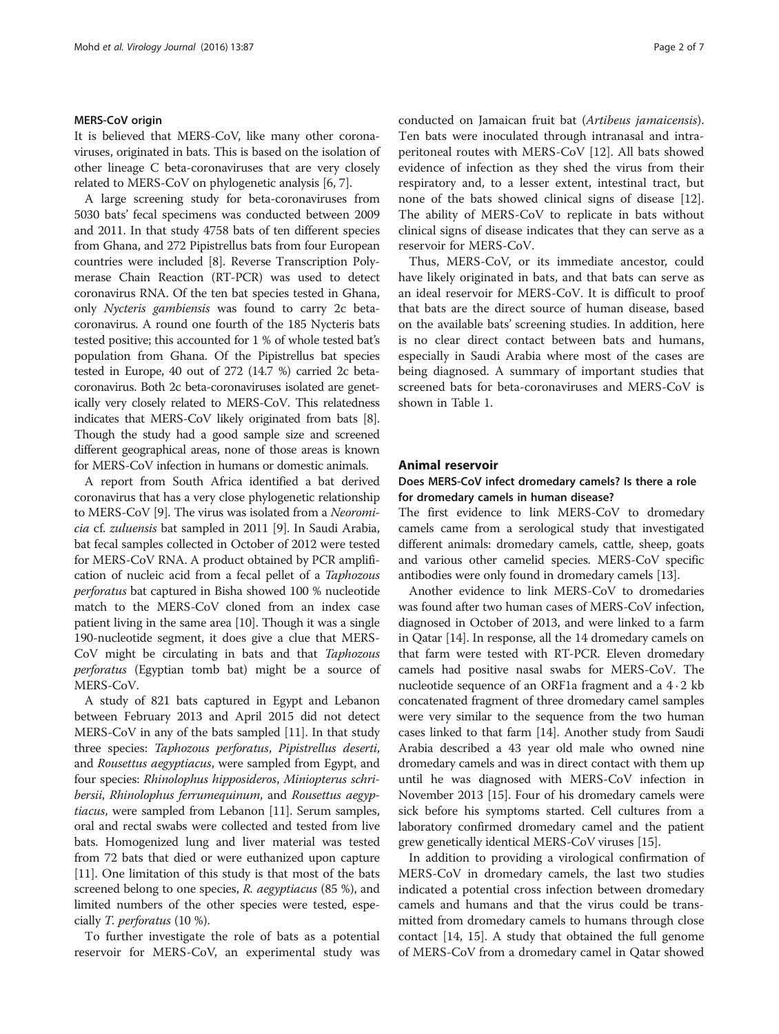# MERS-CoV origin

It is believed that MERS-CoV, like many other coronaviruses, originated in bats. This is based on the isolation of other lineage C beta-coronaviruses that are very closely related to MERS-CoV on phylogenetic analysis [[6, 7](#page-5-0)].

A large screening study for beta-coronaviruses from 5030 bats' fecal specimens was conducted between 2009 and 2011. In that study 4758 bats of ten different species from Ghana, and 272 Pipistrellus bats from four European countries were included [\[8](#page-5-0)]. Reverse Transcription Polymerase Chain Reaction (RT-PCR) was used to detect coronavirus RNA. Of the ten bat species tested in Ghana, only Nycteris gambiensis was found to carry 2c betacoronavirus. A round one fourth of the 185 Nycteris bats tested positive; this accounted for 1 % of whole tested bat's population from Ghana. Of the Pipistrellus bat species tested in Europe, 40 out of 272 (14.7 %) carried 2c betacoronavirus. Both 2c beta-coronaviruses isolated are genetically very closely related to MERS-CoV. This relatedness indicates that MERS-CoV likely originated from bats [[8](#page-5-0)]. Though the study had a good sample size and screened different geographical areas, none of those areas is known for MERS-CoV infection in humans or domestic animals.

A report from South Africa identified a bat derived coronavirus that has a very close phylogenetic relationship to MERS-CoV [\[9](#page-5-0)]. The virus was isolated from a Neoromicia cf. zuluensis bat sampled in 2011 [[9](#page-5-0)]. In Saudi Arabia, bat fecal samples collected in October of 2012 were tested for MERS-CoV RNA. A product obtained by PCR amplification of nucleic acid from a fecal pellet of a Taphozous perforatus bat captured in Bisha showed 100 % nucleotide match to the MERS-CoV cloned from an index case patient living in the same area [[10](#page-5-0)]. Though it was a single 190-nucleotide segment, it does give a clue that MERS-CoV might be circulating in bats and that Taphozous perforatus (Egyptian tomb bat) might be a source of MERS-CoV.

A study of 821 bats captured in Egypt and Lebanon between February 2013 and April 2015 did not detect MERS-CoV in any of the bats sampled [[11](#page-5-0)]. In that study three species: Taphozous perforatus, Pipistrellus deserti, and Rousettus aegyptiacus, were sampled from Egypt, and four species: Rhinolophus hipposideros, Miniopterus schribersii, Rhinolophus ferrumequinum, and Rousettus aegyptiacus, were sampled from Lebanon [[11](#page-5-0)]. Serum samples, oral and rectal swabs were collected and tested from live bats. Homogenized lung and liver material was tested from 72 bats that died or were euthanized upon capture [[11](#page-5-0)]. One limitation of this study is that most of the bats screened belong to one species, R. aegyptiacus (85 %), and limited numbers of the other species were tested, especially T. perforatus (10 %).

To further investigate the role of bats as a potential reservoir for MERS-CoV, an experimental study was conducted on Jamaican fruit bat (Artibeus jamaicensis). Ten bats were inoculated through intranasal and intraperitoneal routes with MERS-CoV [[12\]](#page-5-0). All bats showed evidence of infection as they shed the virus from their respiratory and, to a lesser extent, intestinal tract, but none of the bats showed clinical signs of disease [\[12](#page-5-0)]. The ability of MERS-CoV to replicate in bats without clinical signs of disease indicates that they can serve as a reservoir for MERS-CoV.

Thus, MERS-CoV, or its immediate ancestor, could have likely originated in bats, and that bats can serve as an ideal reservoir for MERS-CoV. It is difficult to proof that bats are the direct source of human disease, based on the available bats' screening studies. In addition, here is no clear direct contact between bats and humans, especially in Saudi Arabia where most of the cases are being diagnosed. A summary of important studies that screened bats for beta-coronaviruses and MERS-CoV is shown in Table [1.](#page-2-0)

## Animal reservoir

# Does MERS-CoV infect dromedary camels? Is there a role for dromedary camels in human disease?

The first evidence to link MERS-CoV to dromedary camels came from a serological study that investigated different animals: dromedary camels, cattle, sheep, goats and various other camelid species. MERS-CoV specific antibodies were only found in dromedary camels [\[13\]](#page-5-0).

Another evidence to link MERS-CoV to dromedaries was found after two human cases of MERS-CoV infection, diagnosed in October of 2013, and were linked to a farm in Qatar [[14\]](#page-5-0). In response, all the 14 dromedary camels on that farm were tested with RT-PCR. Eleven dromedary camels had positive nasal swabs for MERS-CoV. The nucleotide sequence of an ORF1a fragment and a  $4 \cdot 2$  kb concatenated fragment of three dromedary camel samples were very similar to the sequence from the two human cases linked to that farm [\[14\]](#page-5-0). Another study from Saudi Arabia described a 43 year old male who owned nine dromedary camels and was in direct contact with them up until he was diagnosed with MERS-CoV infection in November 2013 [[15\]](#page-5-0). Four of his dromedary camels were sick before his symptoms started. Cell cultures from a laboratory confirmed dromedary camel and the patient grew genetically identical MERS-CoV viruses [[15](#page-5-0)].

In addition to providing a virological confirmation of MERS-CoV in dromedary camels, the last two studies indicated a potential cross infection between dromedary camels and humans and that the virus could be transmitted from dromedary camels to humans through close contact [[14, 15](#page-5-0)]. A study that obtained the full genome of MERS-CoV from a dromedary camel in Qatar showed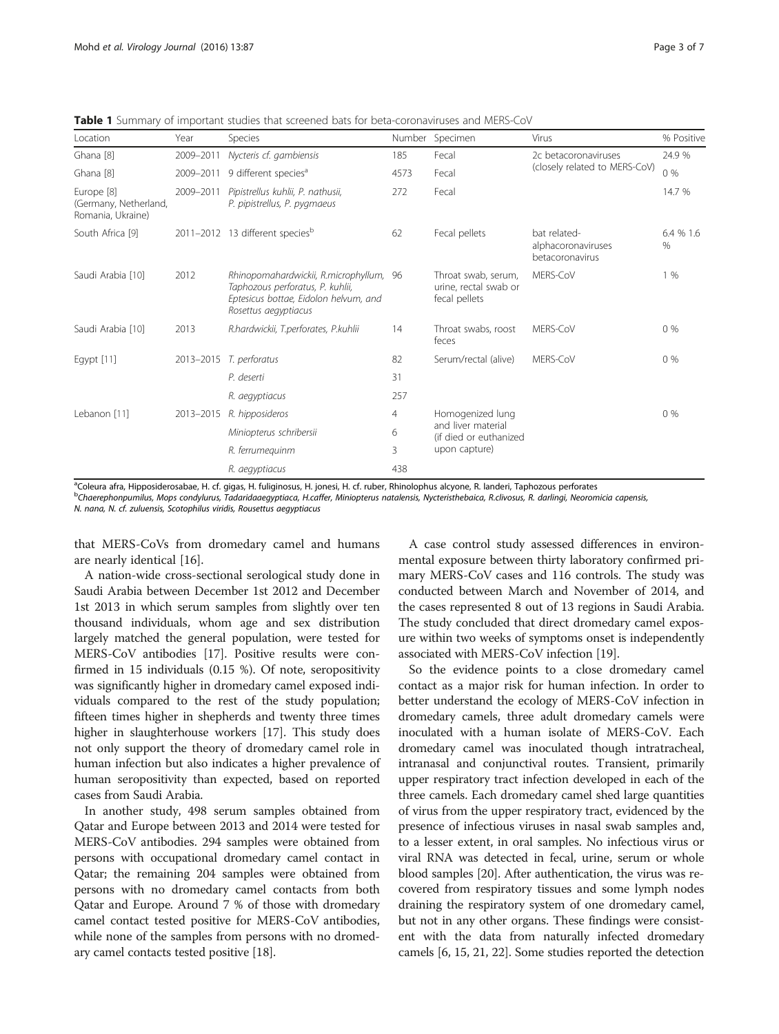| Location                                                 | Year      | Species                                                                                                                                      | Number | Specimen                                                                          | Virus                                                 | % Positive        |
|----------------------------------------------------------|-----------|----------------------------------------------------------------------------------------------------------------------------------------------|--------|-----------------------------------------------------------------------------------|-------------------------------------------------------|-------------------|
| Ghana [8]                                                | 2009-2011 | Nycteris cf. gambiensis                                                                                                                      | 185    | Fecal                                                                             | 2c betacoronaviruses<br>(closely related to MERS-CoV) | 24.9 %            |
| Ghana [8]                                                | 2009-2011 | 9 different species <sup>a</sup>                                                                                                             | 4573   | Fecal                                                                             |                                                       | $0\%$             |
| Europe [8]<br>(Germany, Netherland,<br>Romania, Ukraine) | 2009-2011 | Pipistrellus kuhlii, P. nathusii,<br>P. pipistrellus, P. pygmaeus                                                                            | 272    | Fecal                                                                             |                                                       | 14.7 %            |
| South Africa [9]                                         |           | 2011-2012 13 different species <sup>b</sup>                                                                                                  | 62     | Fecal pellets                                                                     | bat related-<br>alphacoronaviruses<br>betacoronavirus | 6.4 % 1.6<br>$\%$ |
| Saudi Arabia [10]                                        | 2012      | Rhinopomahardwickii, R.microphyllum, 96<br>Taphozous perforatus, P. kuhlii,<br>Eptesicus bottae, Eidolon helvum, and<br>Rosettus aegyptiacus |        | Throat swab, serum,<br>urine, rectal swab or<br>fecal pellets                     | MERS-CoV                                              | 1%                |
| Saudi Arabia [10]                                        | 2013      | R.hardwickii, T.perforates, P.kuhlii                                                                                                         | 14     | Throat swabs, roost<br>feces                                                      | MERS-CoV                                              | $0\%$             |
| Egypt $[11]$                                             |           | 2013-2015 T. perforatus                                                                                                                      | 82     | Serum/rectal (alive)                                                              | MERS-CoV                                              | $0\%$             |
|                                                          |           | P. deserti                                                                                                                                   | 31     |                                                                                   |                                                       |                   |
|                                                          |           | R. aegyptiacus                                                                                                                               | 257    |                                                                                   |                                                       |                   |
| Lebanon [11]                                             | 2013-2015 | R. hipposideros                                                                                                                              | 4      | Homogenized lung<br>and liver material<br>(if died or euthanized<br>upon capture) |                                                       | $0\%$             |
|                                                          |           | Miniopterus schribersii                                                                                                                      | 6      |                                                                                   |                                                       |                   |
|                                                          |           | R. ferrumequinm                                                                                                                              | 3      |                                                                                   |                                                       |                   |
|                                                          |           | R. aegyptiacus                                                                                                                               | 438    |                                                                                   |                                                       |                   |

<span id="page-2-0"></span>**Table 1** Summary of important studies that screened bats for beta-coronaviruses and MERS-CoV

a<br>Coleura afra, Hipposiderosabae, H. cf. gigas, H. fuliginosus, H. jonesi, H. cf. ruber, Rhinolophus alcyone, R. landeri, Taphozous perforates

<sup>b</sup>Chaerephonpumilus, Mops condylurus, Tadaridaaegyptiaca, H.caffer, Miniopterus natalensis, Nycteristhebaica, R.clivosus, R. darlingi, Neoromicia capensis,

N. nana, N. cf. zuluensis, Scotophilus viridis, Rousettus aegyptiacus

that MERS-CoVs from dromedary camel and humans are nearly identical [[16](#page-5-0)].

A nation-wide cross-sectional serological study done in Saudi Arabia between December 1st 2012 and December 1st 2013 in which serum samples from slightly over ten thousand individuals, whom age and sex distribution largely matched the general population, were tested for MERS-CoV antibodies [[17](#page-5-0)]. Positive results were confirmed in 15 individuals (0.15 %). Of note, seropositivity was significantly higher in dromedary camel exposed individuals compared to the rest of the study population; fifteen times higher in shepherds and twenty three times higher in slaughterhouse workers [\[17\]](#page-5-0). This study does not only support the theory of dromedary camel role in human infection but also indicates a higher prevalence of human seropositivity than expected, based on reported cases from Saudi Arabia.

In another study, 498 serum samples obtained from Qatar and Europe between 2013 and 2014 were tested for MERS-CoV antibodies. 294 samples were obtained from persons with occupational dromedary camel contact in Qatar; the remaining 204 samples were obtained from persons with no dromedary camel contacts from both Qatar and Europe. Around 7 % of those with dromedary camel contact tested positive for MERS-CoV antibodies, while none of the samples from persons with no dromedary camel contacts tested positive [\[18\]](#page-5-0).

A case control study assessed differences in environmental exposure between thirty laboratory confirmed primary MERS-CoV cases and 116 controls. The study was conducted between March and November of 2014, and the cases represented 8 out of 13 regions in Saudi Arabia. The study concluded that direct dromedary camel exposure within two weeks of symptoms onset is independently associated with MERS-CoV infection [\[19\]](#page-6-0).

So the evidence points to a close dromedary camel contact as a major risk for human infection. In order to better understand the ecology of MERS-CoV infection in dromedary camels, three adult dromedary camels were inoculated with a human isolate of MERS-CoV. Each dromedary camel was inoculated though intratracheal, intranasal and conjunctival routes. Transient, primarily upper respiratory tract infection developed in each of the three camels. Each dromedary camel shed large quantities of virus from the upper respiratory tract, evidenced by the presence of infectious viruses in nasal swab samples and, to a lesser extent, in oral samples. No infectious virus or viral RNA was detected in fecal, urine, serum or whole blood samples [[20\]](#page-6-0). After authentication, the virus was recovered from respiratory tissues and some lymph nodes draining the respiratory system of one dromedary camel, but not in any other organs. These findings were consistent with the data from naturally infected dromedary camels [[6, 15](#page-5-0), [21](#page-6-0), [22\]](#page-6-0). Some studies reported the detection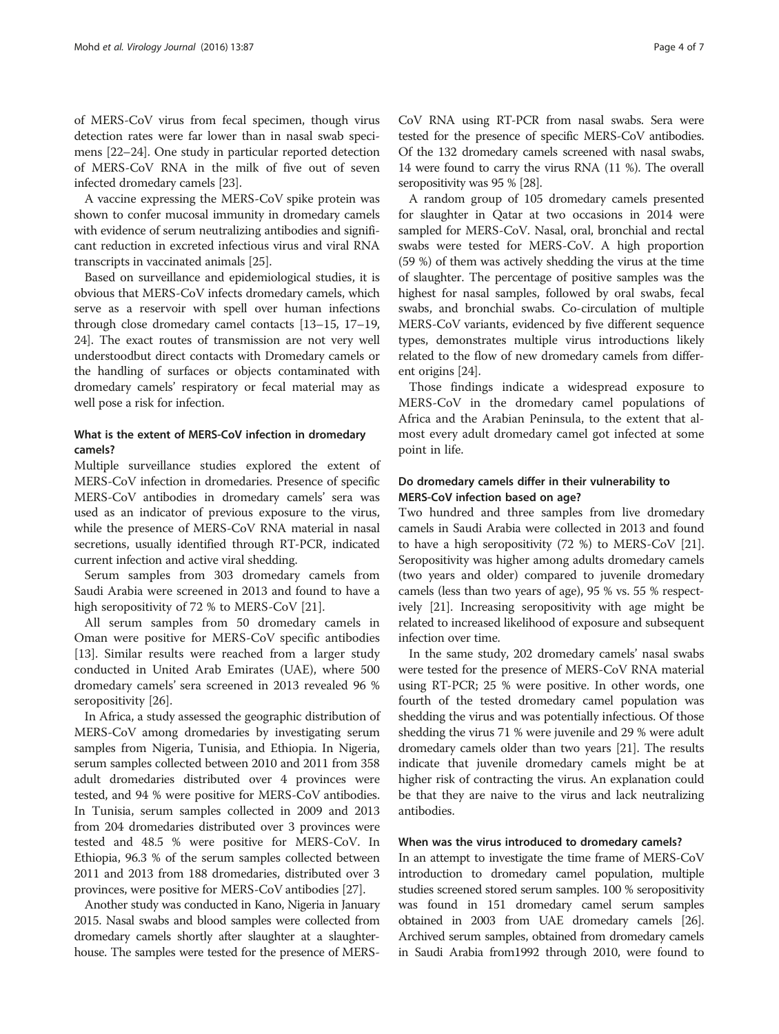of MERS-CoV virus from fecal specimen, though virus detection rates were far lower than in nasal swab specimens [\[22](#page-6-0)–[24\]](#page-6-0). One study in particular reported detection of MERS-CoV RNA in the milk of five out of seven infected dromedary camels [\[23\]](#page-6-0).

A vaccine expressing the MERS-CoV spike protein was shown to confer mucosal immunity in dromedary camels with evidence of serum neutralizing antibodies and significant reduction in excreted infectious virus and viral RNA transcripts in vaccinated animals [\[25\]](#page-6-0).

Based on surveillance and epidemiological studies, it is obvious that MERS-CoV infects dromedary camels, which serve as a reservoir with spell over human infections through close dromedary camel contacts [\[13](#page-5-0)–[15](#page-5-0), [17](#page-5-0)–[19](#page-6-0), [24](#page-6-0)]. The exact routes of transmission are not very well understoodbut direct contacts with Dromedary camels or the handling of surfaces or objects contaminated with dromedary camels' respiratory or fecal material may as well pose a risk for infection.

# What is the extent of MERS-CoV infection in dromedary camels?

Multiple surveillance studies explored the extent of MERS-CoV infection in dromedaries. Presence of specific MERS-CoV antibodies in dromedary camels' sera was used as an indicator of previous exposure to the virus, while the presence of MERS-CoV RNA material in nasal secretions, usually identified through RT-PCR, indicated current infection and active viral shedding.

Serum samples from 303 dromedary camels from Saudi Arabia were screened in 2013 and found to have a high seropositivity of 72 % to MERS-CoV [\[21](#page-6-0)].

All serum samples from 50 dromedary camels in Oman were positive for MERS-CoV specific antibodies [[13\]](#page-5-0). Similar results were reached from a larger study conducted in United Arab Emirates (UAE), where 500 dromedary camels' sera screened in 2013 revealed 96 % seropositivity [[26\]](#page-6-0).

In Africa, a study assessed the geographic distribution of MERS-CoV among dromedaries by investigating serum samples from Nigeria, Tunisia, and Ethiopia. In Nigeria, serum samples collected between 2010 and 2011 from 358 adult dromedaries distributed over 4 provinces were tested, and 94 % were positive for MERS-CoV antibodies. In Tunisia, serum samples collected in 2009 and 2013 from 204 dromedaries distributed over 3 provinces were tested and 48.5 % were positive for MERS-CoV. In Ethiopia, 96.3 % of the serum samples collected between 2011 and 2013 from 188 dromedaries, distributed over 3 provinces, were positive for MERS-CoV antibodies [[27](#page-6-0)].

Another study was conducted in Kano, Nigeria in January 2015. Nasal swabs and blood samples were collected from dromedary camels shortly after slaughter at a slaughterhouse. The samples were tested for the presence of MERS- CoV RNA using RT-PCR from nasal swabs. Sera were tested for the presence of specific MERS-CoV antibodies. Of the 132 dromedary camels screened with nasal swabs, 14 were found to carry the virus RNA (11 %). The overall seropositivity was 95 % [\[28\]](#page-6-0).

A random group of 105 dromedary camels presented for slaughter in Qatar at two occasions in 2014 were sampled for MERS-CoV. Nasal, oral, bronchial and rectal swabs were tested for MERS-CoV. A high proportion (59 %) of them was actively shedding the virus at the time of slaughter. The percentage of positive samples was the highest for nasal samples, followed by oral swabs, fecal swabs, and bronchial swabs. Co-circulation of multiple MERS-CoV variants, evidenced by five different sequence types, demonstrates multiple virus introductions likely related to the flow of new dromedary camels from different origins [\[24\]](#page-6-0).

Those findings indicate a widespread exposure to MERS-CoV in the dromedary camel populations of Africa and the Arabian Peninsula, to the extent that almost every adult dromedary camel got infected at some point in life.

# Do dromedary camels differ in their vulnerability to MERS-CoV infection based on age?

Two hundred and three samples from live dromedary camels in Saudi Arabia were collected in 2013 and found to have a high seropositivity (72 %) to MERS-CoV [[21](#page-6-0)]. Seropositivity was higher among adults dromedary camels (two years and older) compared to juvenile dromedary camels (less than two years of age), 95 % vs. 55 % respectively [[21](#page-6-0)]. Increasing seropositivity with age might be related to increased likelihood of exposure and subsequent infection over time.

In the same study, 202 dromedary camels' nasal swabs were tested for the presence of MERS-CoV RNA material using RT-PCR; 25 % were positive. In other words, one fourth of the tested dromedary camel population was shedding the virus and was potentially infectious. Of those shedding the virus 71 % were juvenile and 29 % were adult dromedary camels older than two years [\[21\]](#page-6-0). The results indicate that juvenile dromedary camels might be at higher risk of contracting the virus. An explanation could be that they are naive to the virus and lack neutralizing antibodies.

# When was the virus introduced to dromedary camels?

In an attempt to investigate the time frame of MERS-CoV introduction to dromedary camel population, multiple studies screened stored serum samples. 100 % seropositivity was found in 151 dromedary camel serum samples obtained in 2003 from UAE dromedary camels [\[26](#page-6-0)]. Archived serum samples, obtained from dromedary camels in Saudi Arabia from1992 through 2010, were found to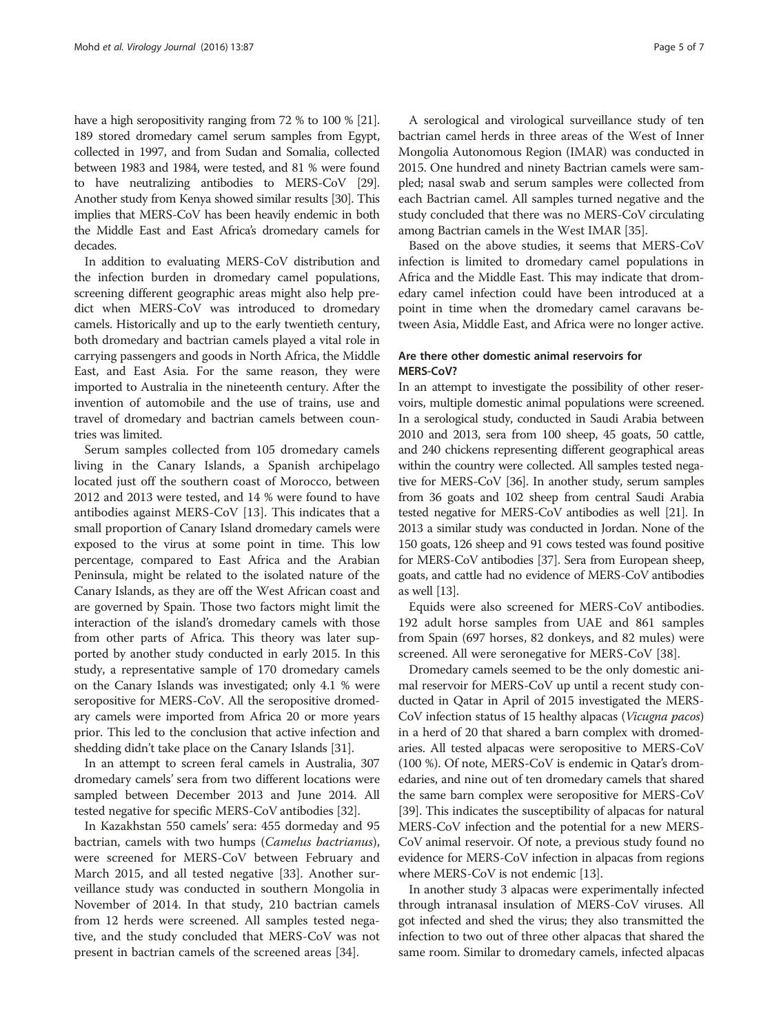have a high seropositivity ranging from 72 % to 100 % [\[21](#page-6-0)]. 189 stored dromedary camel serum samples from Egypt, collected in 1997, and from Sudan and Somalia, collected between 1983 and 1984, were tested, and 81 % were found to have neutralizing antibodies to MERS-CoV [\[29](#page-6-0)]. Another study from Kenya showed similar results [\[30\]](#page-6-0). This implies that MERS-CoV has been heavily endemic in both the Middle East and East Africa's dromedary camels for decades.

In addition to evaluating MERS-CoV distribution and the infection burden in dromedary camel populations, screening different geographic areas might also help predict when MERS-CoV was introduced to dromedary camels. Historically and up to the early twentieth century, both dromedary and bactrian camels played a vital role in carrying passengers and goods in North Africa, the Middle East, and East Asia. For the same reason, they were imported to Australia in the nineteenth century. After the invention of automobile and the use of trains, use and travel of dromedary and bactrian camels between countries was limited.

Serum samples collected from 105 dromedary camels living in the Canary Islands, a Spanish archipelago located just off the southern coast of Morocco, between 2012 and 2013 were tested, and 14 % were found to have antibodies against MERS-CoV [[13\]](#page-5-0). This indicates that a small proportion of Canary Island dromedary camels were exposed to the virus at some point in time. This low percentage, compared to East Africa and the Arabian Peninsula, might be related to the isolated nature of the Canary Islands, as they are off the West African coast and are governed by Spain. Those two factors might limit the interaction of the island's dromedary camels with those from other parts of Africa. This theory was later supported by another study conducted in early 2015. In this study, a representative sample of 170 dromedary camels on the Canary Islands was investigated; only 4.1 % were seropositive for MERS-CoV. All the seropositive dromedary camels were imported from Africa 20 or more years prior. This led to the conclusion that active infection and shedding didn't take place on the Canary Islands [\[31\]](#page-6-0).

In an attempt to screen feral camels in Australia, 307 dromedary camels' sera from two different locations were sampled between December 2013 and June 2014. All tested negative for specific MERS-CoV antibodies [[32](#page-6-0)].

In Kazakhstan 550 camels' sera: 455 dormeday and 95 bactrian, camels with two humps (Camelus bactrianus), were screened for MERS-CoV between February and March 2015, and all tested negative [[33](#page-6-0)]. Another surveillance study was conducted in southern Mongolia in November of 2014. In that study, 210 bactrian camels from 12 herds were screened. All samples tested negative, and the study concluded that MERS-CoV was not present in bactrian camels of the screened areas [[34](#page-6-0)].

A serological and virological surveillance study of ten bactrian camel herds in three areas of the West of Inner Mongolia Autonomous Region (IMAR) was conducted in 2015. One hundred and ninety Bactrian camels were sampled; nasal swab and serum samples were collected from each Bactrian camel. All samples turned negative and the study concluded that there was no MERS-CoV circulating among Bactrian camels in the West IMAR [[35](#page-6-0)].

Based on the above studies, it seems that MERS-CoV infection is limited to dromedary camel populations in Africa and the Middle East. This may indicate that dromedary camel infection could have been introduced at a point in time when the dromedary camel caravans between Asia, Middle East, and Africa were no longer active.

# Are there other domestic animal reservoirs for MERS-CoV?

In an attempt to investigate the possibility of other reservoirs, multiple domestic animal populations were screened. In a serological study, conducted in Saudi Arabia between 2010 and 2013, sera from 100 sheep, 45 goats, 50 cattle, and 240 chickens representing different geographical areas within the country were collected. All samples tested negative for MERS-CoV [[36](#page-6-0)]. In another study, serum samples from 36 goats and 102 sheep from central Saudi Arabia tested negative for MERS-CoV antibodies as well [[21](#page-6-0)]. In 2013 a similar study was conducted in Jordan. None of the 150 goats, 126 sheep and 91 cows tested was found positive for MERS-CoV antibodies [\[37](#page-6-0)]. Sera from European sheep, goats, and cattle had no evidence of MERS-CoV antibodies as well [[13\]](#page-5-0).

Equids were also screened for MERS-CoV antibodies. 192 adult horse samples from UAE and 861 samples from Spain (697 horses, 82 donkeys, and 82 mules) were screened. All were seronegative for MERS-CoV [\[38\]](#page-6-0).

Dromedary camels seemed to be the only domestic animal reservoir for MERS-CoV up until a recent study conducted in Qatar in April of 2015 investigated the MERS-CoV infection status of 15 healthy alpacas (Vicugna pacos) in a herd of 20 that shared a barn complex with dromedaries. All tested alpacas were seropositive to MERS-CoV (100 %). Of note, MERS-CoV is endemic in Qatar's dromedaries, and nine out of ten dromedary camels that shared the same barn complex were seropositive for MERS-CoV [[39](#page-6-0)]. This indicates the susceptibility of alpacas for natural MERS-CoV infection and the potential for a new MERS-CoV animal reservoir. Of note, a previous study found no evidence for MERS-CoV infection in alpacas from regions where MERS-CoV is not endemic [\[13\]](#page-5-0).

In another study 3 alpacas were experimentally infected through intranasal insulation of MERS-CoV viruses. All got infected and shed the virus; they also transmitted the infection to two out of three other alpacas that shared the same room. Similar to dromedary camels, infected alpacas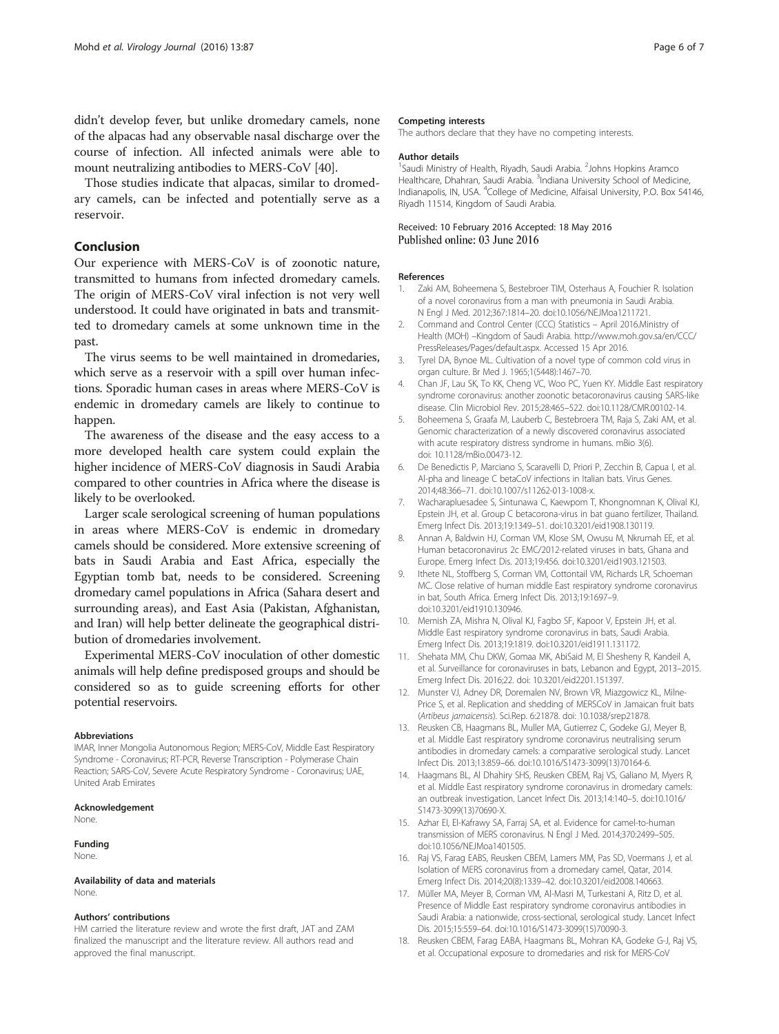<span id="page-5-0"></span>didn't develop fever, but unlike dromedary camels, none of the alpacas had any observable nasal discharge over the course of infection. All infected animals were able to mount neutralizing antibodies to MERS-CoV [\[40](#page-6-0)].

Those studies indicate that alpacas, similar to dromedary camels, can be infected and potentially serve as a reservoir.

# Conclusion

Our experience with MERS-CoV is of zoonotic nature, transmitted to humans from infected dromedary camels. The origin of MERS-CoV viral infection is not very well understood. It could have originated in bats and transmitted to dromedary camels at some unknown time in the past.

The virus seems to be well maintained in dromedaries, which serve as a reservoir with a spill over human infections. Sporadic human cases in areas where MERS-CoV is endemic in dromedary camels are likely to continue to happen.

The awareness of the disease and the easy access to a more developed health care system could explain the higher incidence of MERS-CoV diagnosis in Saudi Arabia compared to other countries in Africa where the disease is likely to be overlooked.

Larger scale serological screening of human populations in areas where MERS-CoV is endemic in dromedary camels should be considered. More extensive screening of bats in Saudi Arabia and East Africa, especially the Egyptian tomb bat, needs to be considered. Screening dromedary camel populations in Africa (Sahara desert and surrounding areas), and East Asia (Pakistan, Afghanistan, and Iran) will help better delineate the geographical distribution of dromedaries involvement.

Experimental MERS-CoV inoculation of other domestic animals will help define predisposed groups and should be considered so as to guide screening efforts for other potential reservoirs.

#### Abbreviations

IMAR, Inner Mongolia Autonomous Region; MERS-CoV, Middle East Respiratory Syndrome - Coronavirus; RT-PCR, Reverse Transcription - Polymerase Chain Reaction; SARS-CoV, Severe Acute Respiratory Syndrome - Coronavirus; UAE, United Arab Emirates

#### Acknowledgement

None.

# Funding

None.

#### Availability of data and materials None.

#### Authors' contributions

HM carried the literature review and wrote the first draft, JAT and ZAM finalized the manuscript and the literature review. All authors read and approved the final manuscript.

#### Competing interests

The authors declare that they have no competing interests.

#### Author details

<sup>1</sup> Saudi Ministry of Health, Riyadh, Saudi Arabia. <sup>2</sup> Johns Hopkins Aramco Healthcare, Dhahran, Saudi Arabia. <sup>3</sup>Indiana University School of Medicine Indianapolis, IN, USA. <sup>4</sup> College of Medicine, Alfaisal University, P.O. Box 54146, Riyadh 11514, Kingdom of Saudi Arabia.

### Received: 10 February 2016 Accepted: 18 May 2016 Published online: 03 June 2016

#### References

- 1. Zaki AM, Boheemena S, Bestebroer TIM, Osterhaus A, Fouchier R. Isolation of a novel coronavirus from a man with pneumonia in Saudi Arabia. N Engl J Med. 2012;367:1814–20. doi:[10.1056/NEJMoa1211721](http://dx.doi.org/10.1056/NEJMoa1211721).
- 2. Command and Control Center (CCC) Statistics April 2016.Ministry of Health (MOH) –Kingdom of Saudi Arabia. [http://www.moh.gov.sa/en/CCC/](http://www.moh.gov.sa/en/CCC/PressReleases/Pages/default.aspx) [PressReleases/Pages/default.aspx.](http://www.moh.gov.sa/en/CCC/PressReleases/Pages/default.aspx) Accessed 15 Apr 2016.
- 3. Tyrel DA, Bynoe ML. Cultivation of a novel type of common cold virus in organ culture. Br Med J. 1965;1(5448):1467–70.
- 4. Chan JF, Lau SK, To KK, Cheng VC, Woo PC, Yuen KY. Middle East respiratory syndrome coronavirus: another zoonotic betacoronavirus causing SARS-like disease. Clin Microbiol Rev. 2015;28:465–522. doi[:10.1128/CMR.00102-14.](http://dx.doi.org/10.1128/CMR.00102-14)
- 5. Boheemena S, Graafa M, Lauberb C, Bestebroera TM, Raja S, Zaki AM, et al. Genomic characterization of a newly discovered coronavirus associated with acute respiratory distress syndrome in humans. mBio 3(6). doi: [10.1128/mBio.00473-12](http://dx.doi.org/10.1128/mBio.00473-12).
- 6. De Benedictis P, Marciano S, Scaravelli D, Priori P, Zecchin B, Capua I, et al. Al-pha and lineage C betaCoV infections in Italian bats. Virus Genes. 2014;48:366–71. doi:[10.1007/s11262-013-1008-x.](http://dx.doi.org/10.1007/s11262-013-1008-x)
- 7. Wacharapluesadee S, Sintunawa C, Kaewpom T, Khongnomnan K, Olival KJ, Epstein JH, et al. Group C betacorona-virus in bat guano fertilizer, Thailand. Emerg Infect Dis. 2013;19:1349–51. doi:[10.3201/eid1908.130119.](http://dx.doi.org/10.3201/eid1908.130119)
- 8. Annan A, Baldwin HJ, Corman VM, Klose SM, Owusu M, Nkrumah EE, et al. Human betacoronavirus 2c EMC/2012-related viruses in bats, Ghana and Europe. Emerg Infect Dis. 2013;19:456. doi[:10.3201/eid1903.121503.](http://dx.doi.org/10.3201/eid1903.121503)
- 9. Ithete NL, Stoffberg S, Corman VM, Cottontail VM, Richards LR, Schoeman MC. Close relative of human middle East respiratory syndrome coronavirus in bat, South Africa. Emerg Infect Dis. 2013;19:1697–9. doi[:10.3201/eid1910.130946](http://dx.doi.org/10.3201/eid1910.130946).
- 10. Memish ZA, Mishra N, Olival KJ, Fagbo SF, Kapoor V, Epstein JH, et al. Middle East respiratory syndrome coronavirus in bats, Saudi Arabia. Emerg Infect Dis. 2013;19:1819. doi[:10.3201/eid1911.131172.](http://dx.doi.org/10.3201/eid1911.131172)
- 11. Shehata MM, Chu DKW, Gomaa MK, AbiSaid M, El Shesheny R, Kandeil A, et al. Surveillance for coronaviruses in bats, Lebanon and Egypt, 2013–2015. Emerg Infect Dis. 2016;22. doi: [10.3201/eid2201.151397.](http://dx.doi.org/10.3201/eid2201.151397)
- 12. Munster VJ, Adney DR, Doremalen NV, Brown VR, Miazgowicz KL, Milne-Price S, et al. Replication and shedding of MERSCoV in Jamaican fruit bats (Artibeus jamaicensis). Sci.Rep. 6:21878. doi: [10.1038/srep21878.](http://dx.doi.org/10.1038/srep21878)
- 13. Reusken CB, Haagmans BL, Muller MA, Gutierrez C, Godeke GJ, Meyer B, et al. Middle East respiratory syndrome coronavirus neutralising serum antibodies in dromedary camels: a comparative serological study. Lancet Infect Dis. 2013;13:859–66. doi:[10.1016/S1473-3099\(13\)70164-6.](http://dx.doi.org/10.1016/S1473-3099(13)70164-6)
- 14. Haagmans BL, Al Dhahiry SHS, Reusken CBEM, Raj VS, Galiano M, Myers R, et al. Middle East respiratory syndrome coronavirus in dromedary camels: an outbreak investigation. Lancet Infect Dis. 2013;14:140–5. doi[:10.1016/](http://dx.doi.org/10.1016/S1473-3099(13)70690-X) [S1473-3099\(13\)70690-X.](http://dx.doi.org/10.1016/S1473-3099(13)70690-X)
- 15. Azhar EI, El-Kafrawy SA, Farraj SA, et al. Evidence for camel-to-human transmission of MERS coronavirus. N Engl J Med. 2014;370:2499–505. doi[:10.1056/NEJMoa1401505.](http://dx.doi.org/10.1056/NEJMoa1401505)
- 16. Raj VS, Farag EABS, Reusken CBEM, Lamers MM, Pas SD, Voermans J, et al. Isolation of MERS coronavirus from a dromedary camel, Qatar, 2014. Emerg Infect Dis. 2014;20(8):1339–42. doi:[10.3201/eid2008.140663](http://dx.doi.org/10.3201/eid2008.140663).
- 17. Müller MA, Meyer B, Corman VM, Al-Masri M, Turkestani A, Ritz D, et al. Presence of Middle East respiratory syndrome coronavirus antibodies in Saudi Arabia: a nationwide, cross-sectional, serological study. Lancet Infect Dis. 2015;15:559–64. doi:[10.1016/S1473-3099\(15\)70090-3.](http://dx.doi.org/10.1016/S1473-3099(15)70090-3)
- 18. Reusken CBEM, Farag EABA, Haagmans BL, Mohran KA, Godeke G-J, Raj VS, et al. Occupational exposure to dromedaries and risk for MERS-CoV